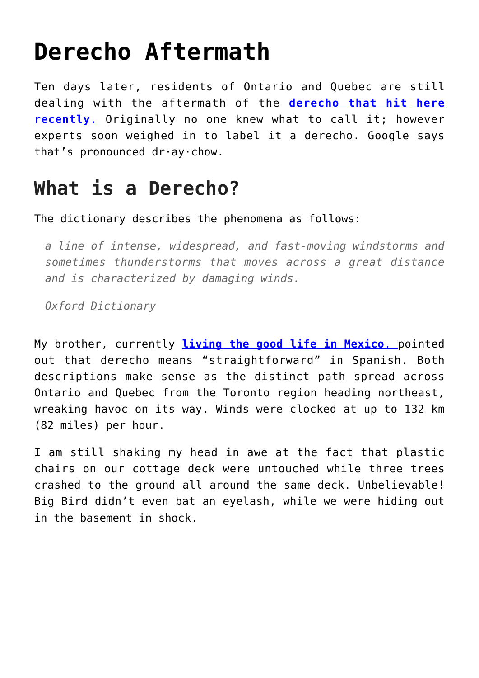# **[Derecho Aftermath](https://loreeebee.ca/2022/06/01/derecho-aftermath/)**

Ten days later, residents of Ontario and Quebec are still dealing with the aftermath of the **[derecho that hit here](https://loreeebee.ca/2022/05/22/storm-hits-ontario-hard-but-selectively/) [recently](https://loreeebee.ca/2022/05/22/storm-hits-ontario-hard-but-selectively/)**[.](https://loreeebee.ca/2022/05/22/storm-hits-ontario-hard-but-selectively/) Originally no one knew what to call it; however experts soon weighed in to label it a derecho. Google says that's pronounced dr·ay·chow.

## **What is a Derecho?**

The dictionary describes the phenomena as follows:

*a line of intense, widespread, and fast-moving windstorms and sometimes thunderstorms that moves across a great distance and is characterized by damaging winds.*

*Oxford Dictionary*

My brother, currently **[living the good life in Mexico](https://loreeebee.ca/2021/11/27/destination-wedding-in-paradise-aka-los-cabos/)**[, p](https://loreeebee.ca/2021/11/27/destination-wedding-in-paradise-aka-los-cabos/)ointed out that derecho means "straightforward" in Spanish. Both descriptions make sense as the distinct path spread across Ontario and Quebec from the Toronto region heading northeast, wreaking havoc on its way. Winds were clocked at up to 132 km (82 miles) per hour.

I am still shaking my head in awe at the fact that plastic chairs on our cottage deck were untouched while three trees crashed to the ground all around the same deck. Unbelievable! Big Bird didn't even bat an eyelash, while we were hiding out in the basement in shock.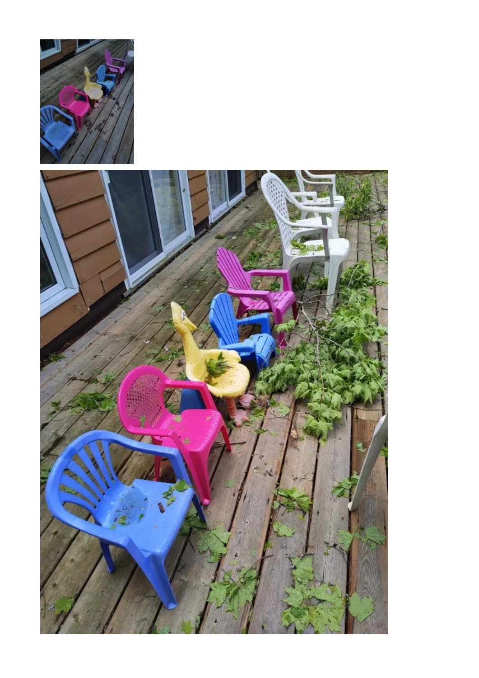

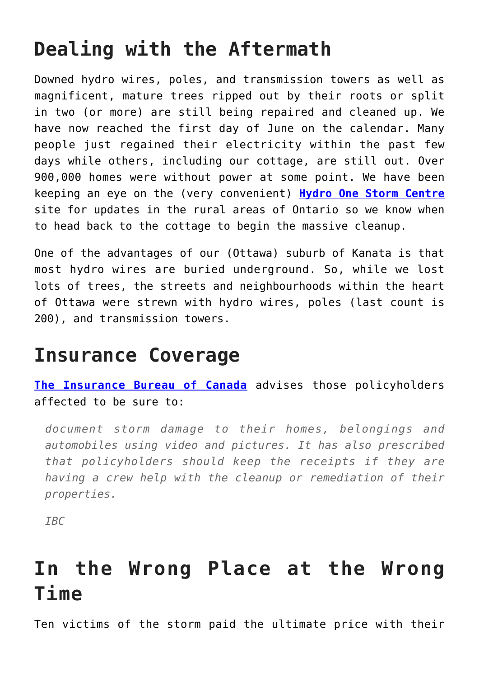# **Dealing with the Aftermath**

Downed hydro wires, poles, and transmission towers as well as magnificent, mature trees ripped out by their roots or split in two (or more) are still being repaired and cleaned up. We have now reached the first day of June on the calendar. Many people just regained their electricity within the past few days while others, including our cottage, are still out. Over 900,000 homes were without power at some point. We have been keeping an eye on the (very convenient) **[Hydro One Storm Centre](https://d8bkcndcv6jca.cloudfront.net/)** site for updates in the rural areas of Ontario so we know when to head back to the cottage to begin the massive cleanup.

One of the advantages of our (Ottawa) suburb of Kanata is that most hydro wires are buried underground. So, while we lost lots of trees, the streets and neighbourhoods within the heart of Ottawa were strewn with hydro wires, poles (last count is 200), and transmission towers.

#### **Insurance Coverage**

**[The Insurance Bureau of Canada](https://www.insurancebusinessmag.com/ca/companies/insurance-bureau-of-canada/213740/)** advises those policyholders affected to be sure to:

*document storm damage to their homes, belongings and automobiles using video and pictures. It has also prescribed that policyholders should keep the receipts if they are having a crew help with the cleanup or remediation of their properties.*

*IBC*

### **In the Wrong Place at the Wrong Time**

Ten victims of the storm paid the ultimate price with their